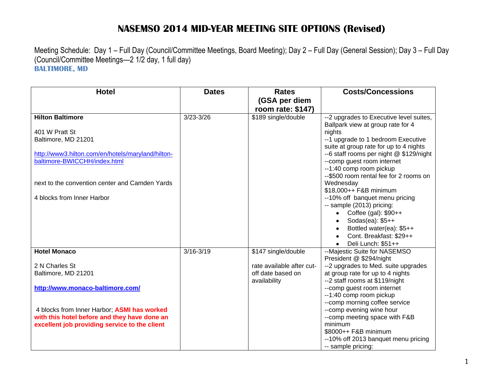## **NASEMSO 2014 MID-YEAR MEETING SITE OPTIONS (Revised)**

Meeting Schedule: Day 1 – Full Day (Council/Committee Meetings, Board Meeting); Day 2 – Full Day (General Session); Day 3 – Full Day (Council/Committee Meetings—2 1/2 day, 1 full day) **BALTIMORE, MD**

| <b>Hotel</b>                                      | <b>Dates</b>  | <b>Rates</b>                                   | <b>Costs/Concessions</b>                                                          |
|---------------------------------------------------|---------------|------------------------------------------------|-----------------------------------------------------------------------------------|
|                                                   |               | (GSA per diem<br>room rate: \$147)             |                                                                                   |
| <b>Hilton Baltimore</b>                           | $3/23 - 3/26$ | \$189 single/double                            | --2 upgrades to Executive level suites,                                           |
| 401 W Pratt St                                    |               |                                                | Ballpark view at group rate for 4<br>nights                                       |
| Baltimore, MD 21201                               |               |                                                | --1 upgrade to 1 bedroom Executive                                                |
| http://www3.hilton.com/en/hotels/maryland/hilton- |               |                                                | suite at group rate for up to 4 nights<br>--6 staff rooms per night @ \$129/night |
| baltimore-BWICCHH/index.html                      |               |                                                | --comp guest room internet                                                        |
|                                                   |               |                                                | --1:40 comp room pickup                                                           |
| next to the convention center and Camden Yards    |               |                                                | --\$500 room rental fee for 2 rooms on<br>Wednesday                               |
|                                                   |               |                                                | \$18,000++ F&B minimum                                                            |
| 4 blocks from Inner Harbor                        |               |                                                | --10% off banquet menu pricing                                                    |
|                                                   |               |                                                | -- sample (2013) pricing:<br>Coffee (gal): \$90++                                 |
|                                                   |               |                                                | Sodas(ea): \$5++                                                                  |
|                                                   |               |                                                | Bottled water(ea): \$5++<br>$\bullet$                                             |
|                                                   |               |                                                | Cont. Breakfast: \$29++<br>$\bullet$<br>Deli Lunch: \$51++                        |
| <b>Hotel Monaco</b>                               | $3/16 - 3/19$ | \$147 single/double                            | --Majestic Suite for NASEMSO                                                      |
|                                                   |               |                                                | President @ \$294/night                                                           |
| 2 N Charles St                                    |               | rate available after cut-<br>off date based on | --2 upgrades to Med. suite upgrades                                               |
| Baltimore, MD 21201                               |               | availability                                   | at group rate for up to 4 nights<br>--2 staff rooms at \$119/night                |
| http://www.monaco-baltimore.com/                  |               |                                                | --comp guest room internet                                                        |
|                                                   |               |                                                | --1:40 comp room pickup<br>--comp morning coffee service                          |
| 4 blocks from Inner Harbor; ASMI has worked       |               |                                                | --comp evening wine hour                                                          |
| with this hotel before and they have done an      |               |                                                | --comp meeting space with F&B                                                     |
| excellent job providing service to the client     |               |                                                | minimum                                                                           |
|                                                   |               |                                                | \$8000++ F&B minimum                                                              |
|                                                   |               |                                                | --10% off 2013 banquet menu pricing<br>-- sample pricing:                         |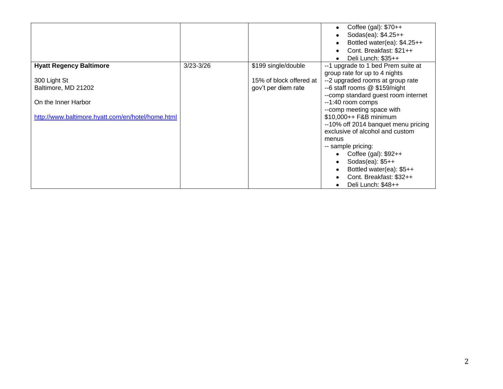|                                                                                                                 |               |                                                | Coffee (gal): $$70++$<br>Sodas(ea): \$4.25++<br>Bottled water(ea): \$4.25++<br>Cont. Breakfast: \$21++                                                                                                                                                                                                                                                                                                                                                     |
|-----------------------------------------------------------------------------------------------------------------|---------------|------------------------------------------------|------------------------------------------------------------------------------------------------------------------------------------------------------------------------------------------------------------------------------------------------------------------------------------------------------------------------------------------------------------------------------------------------------------------------------------------------------------|
| <b>Hyatt Regency Baltimore</b>                                                                                  | $3/23 - 3/26$ | \$199 single/double                            | Deli Lunch: \$35++<br>--1 upgrade to 1 bed Prem suite at                                                                                                                                                                                                                                                                                                                                                                                                   |
| 300 Light St<br>Baltimore, MD 21202<br>On the Inner Harbor<br>http://www.baltimore.hyatt.com/en/hotel/home.html |               | 15% of block offered at<br>gov't per diem rate | group rate for up to 4 nights<br>--2 upgraded rooms at group rate<br>--6 staff rooms @ \$159/night<br>-- comp standard guest room internet<br>--1:40 room comps<br>--comp meeting space with<br>\$10,000++ F&B minimum<br>--10% off 2014 banquet menu pricing<br>exclusive of alcohol and custom<br>menus<br>-- sample pricing:<br>Coffee (gal): $$92++$<br>Sodas(ea): $$5++$<br>Bottled water(ea): \$5++<br>Cont. Breakfast: \$32++<br>Deli Lunch: \$48++ |